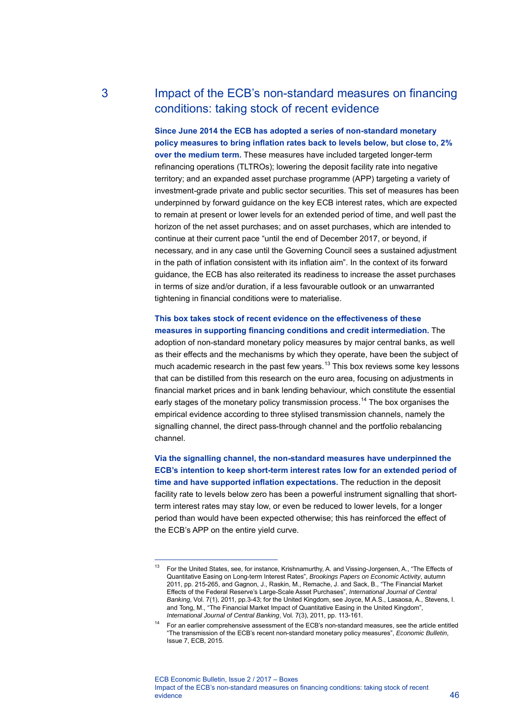# 3 Impact of the ECB's non-standard measures on financing conditions: taking stock of recent evidence

**Since June 2014 the ECB has adopted a series of non-standard monetary policy measures to bring inflation rates back to levels below, but close to, 2% over the medium term.** These measures have included targeted longer-term refinancing operations (TLTROs); lowering the deposit facility rate into negative territory; and an expanded asset purchase programme (APP) targeting a variety of investment-grade private and public sector securities. This set of measures has been underpinned by forward guidance on the key ECB interest rates, which are expected to remain at present or lower levels for an extended period of time, and well past the horizon of the net asset purchases; and on asset purchases, which are intended to continue at their current pace "until the end of December 2017, or beyond, if necessary, and in any case until the Governing Council sees a sustained adjustment in the path of inflation consistent with its inflation aim". In the context of its forward guidance, the ECB has also reiterated its readiness to increase the asset purchases in terms of size and/or duration, if a less favourable outlook or an unwarranted tightening in financial conditions were to materialise.

# **This box takes stock of recent evidence on the effectiveness of these measures in supporting financing conditions and credit intermediation.** The

adoption of non-standard monetary policy measures by major central banks, as well as their effects and the mechanisms by which they operate, have been the subject of much academic research in the past few years.<sup>[13](#page-0-0)</sup> This box reviews some key lessons that can be distilled from this research on the euro area, focusing on adjustments in financial market prices and in bank lending behaviour, which constitute the essential early stages of the monetary policy transmission process.<sup>[14](#page-0-1)</sup> The box organises the empirical evidence according to three stylised transmission channels, namely the signalling channel, the direct pass-through channel and the portfolio rebalancing channel.

**Via the signalling channel, the non-standard measures have underpinned the ECB's intention to keep short-term interest rates low for an extended period of time and have supported inflation expectations.** The reduction in the deposit facility rate to levels below zero has been a powerful instrument signalling that shortterm interest rates may stay low, or even be reduced to lower levels, for a longer period than would have been expected otherwise; this has reinforced the effect of the ECB's APP on the entire yield curve.

-

<span id="page-0-0"></span><sup>13</sup> For the United States, see, for instance, Krishnamurthy, A. and Vissing-Jorgensen, A., "The Effects of Quantitative Easing on Long-term Interest Rates", *Brookings Papers on Economic Activity*, autumn 2011, pp. 215-265, and Gagnon, J., Raskin, M., Remache, J. and Sack, B., "The Financial Market Effects of the Federal Reserve's Large-Scale Asset Purchases", *International Journal of Central Banking*, Vol. 7(1), 2011, pp.3-43; for the United Kingdom, see Joyce, M.A.S., Lasaosa, A., Stevens, I. and Tong, M., "The Financial Market Impact of Quantitative Easing in the United Kingdom", *International Journal of Central Banking*, Vol. 7(3), 2011, pp. 113-161.

<span id="page-0-1"></span><sup>14</sup> For an earlier comprehensive assessment of the ECB's non-standard measures, see the article entitled "The transmission of the ECB's recent non-standard monetary policy measures", *Economic Bulletin*, Issue 7, ECB, 2015.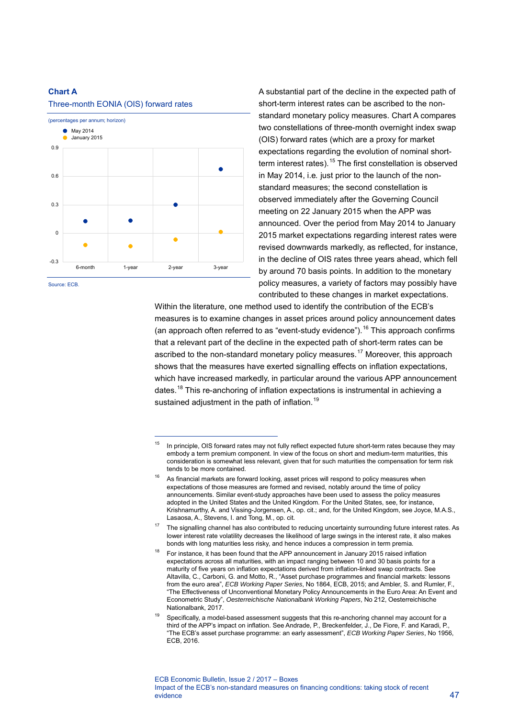#### **Chart A**



-

#### Three-month EONIA (OIS) forward rates

Source: ECB.

A substantial part of the decline in the expected path of short-term interest rates can be ascribed to the nonstandard monetary policy measures. Chart A compares two constellations of three-month overnight index swap (OIS) forward rates (which are a proxy for market expectations regarding the evolution of nominal short-term interest rates).<sup>[15](#page-1-0)</sup> The first constellation is observed in May 2014, i.e*.* just prior to the launch of the nonstandard measures; the second constellation is observed immediately after the Governing Council meeting on 22 January 2015 when the APP was announced. Over the period from May 2014 to January 2015 market expectations regarding interest rates were revised downwards markedly, as reflected, for instance, in the decline of OIS rates three years ahead, which fell by around 70 basis points. In addition to the monetary policy measures, a variety of factors may possibly have contributed to these changes in market expectations.

Within the literature, one method used to identify the contribution of the ECB's measures is to examine changes in asset prices around policy announcement dates (an approach often referred to as "event-study evidence").<sup>[16](#page-1-1)</sup> This approach confirms that a relevant part of the decline in the expected path of short-term rates can be ascribed to the non-standard monetary policy measures.<sup>[17](#page-1-2)</sup> Moreover, this approach shows that the measures have exerted signalling effects on inflation expectations, which have increased markedly, in particular around the various APP announcement dates.<sup>[18](#page-1-3)</sup> This re-anchoring of inflation expectations is instrumental in achieving a sustained adjustment in the path of inflation.<sup>[19](#page-1-4)</sup>

<span id="page-1-1"></span><span id="page-1-0"></span> $15$  In principle, OIS forward rates may not fully reflect expected future short-term rates because they may embody a term premium component. In view of the focus on short and medium-term maturities, this consideration is somewhat less relevant, given that for such maturities the compensation for term risk tends to be more contained.

As financial markets are forward looking, asset prices will respond to policy measures when expectations of those measures are formed and revised, notably around the time of policy announcements. Similar event-study approaches have been used to assess the policy measures adopted in the United States and the United Kingdom. For the United States, see, for instance, Krishnamurthy, A. and Vissing-Jorgensen, A., op. cit.; and, for the United Kingdom, see Joyce, M.A.S., Lasaosa, A., Stevens, I. and Tong, M., op. cit.

<span id="page-1-2"></span><sup>&</sup>lt;sup>17</sup> The signalling channel has also contributed to reducing uncertainty surrounding future interest rates. As lower interest rate volatility decreases the likelihood of large swings in the interest rate, it also makes bonds with long maturities less risky, and hence induces a compression in term premia.

<span id="page-1-3"></span>For instance, it has been found that the APP announcement in January 2015 raised inflation expectations across all maturities, with an impact ranging between 10 and 30 basis points for a maturity of five years on inflation expectations derived from inflation-linked swap contracts. See Altavilla, C., Carboni, G. and Motto, R., "Asset purchase programmes and financial markets: lessons from the euro area", *ECB Working Paper Series*, No 1864, ECB, 2015; and Ambler, S. and Rumler, F., "The Effectiveness of Unconventional Monetary Policy Announcements in the Euro Area: An Event and Econometric Study", *Oesterreichische Nationalbank Working Papers*, No 212, Oesterreichische Nationalbank, 2017.

<span id="page-1-4"></span>Specifically, a model-based assessment suggests that this re-anchoring channel may account for a third of the APP's impact on inflation. See Andrade, P., Breckenfelder, J., De Fiore, F. and Karadi, P., "The ECB's asset purchase programme: an early assessment", *ECB Working Paper Series*, No 1956, ECB, 2016.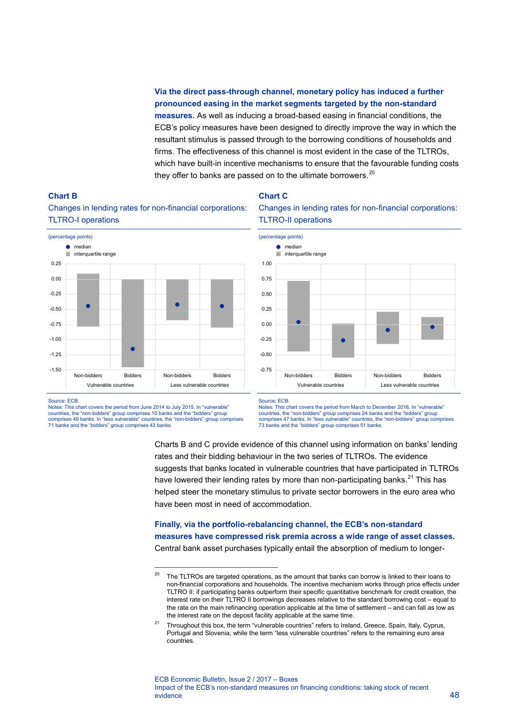## **Via the direct pass-through channel, monetary policy has induced a further pronounced easing in the market segments targeted by the non-standard measures.** As well as inducing a broad-based easing in financial conditions, the ECB's policy measures have been designed to directly improve the way in which the resultant stimulus is passed through to the borrowing conditions of households and firms. The effectiveness of this channel is most evident in the case of the TLTROs, which have built-in incentive mechanisms to ensure that the favourable funding costs they offer to banks are passed on to the ultimate borrowers. $20$

### **Chart C**



Changes in lending rates for non-financial corporations: TLTRO-I operations





Source: ECB.

**Chart B** 

Notes: This chart covers the period from June 2014 to July 2015. In "vulnerable" countries, the "non-bidders" group comprises 10 banks and the "bidders" group comprises 49 banks. In "less vulnerable" countries, the "non-bidders" group comprises 71 banks and the "bidders" group comprises 43 banks.

-

Source: ECB.

Notes: This chart covers the period from March to December 2016. In "vulnerable" countries, the "non-bidders" group comprises 24 banks and the "bidders" group comprises 47 banks. In "less vulnerable" countries, the "non-bidders" group comprises 73 banks and the "bidders" group comprises 51 banks.

Charts B and C provide evidence of this channel using information on banks' lending rates and their bidding behaviour in the two series of TLTROs. The evidence suggests that banks located in vulnerable countries that have participated in TLTROs have lowered their lending rates by more than non-participating banks.<sup>[21](#page-2-1)</sup> This has helped steer the monetary stimulus to private sector borrowers in the euro area who have been most in need of accommodation.

### **Finally, via the portfolio-rebalancing channel, the ECB's non-standard measures have compressed risk premia across a wide range of asset classes.** Central bank asset purchases typically entail the absorption of medium to longer-

<span id="page-2-0"></span><sup>&</sup>lt;sup>20</sup> The TLTROs are targeted operations, as the amount that banks can borrow is linked to their loans to non-financial corporations and households. The incentive mechanism works through price effects under TLTRO II: if participating banks outperform their specific quantitative benchmark for credit creation, the interest rate on their TLTRO II borrowings decreases relative to the standard borrowing cost – equal to the rate on the main refinancing operation applicable at the time of settlement – and can fall as low as the interest rate on the deposit facility applicable at the same time.

<span id="page-2-1"></span><sup>&</sup>lt;sup>21</sup> Throughout this box, the term "vulnerable countries" refers to Ireland, Greece, Spain, Italy, Cyprus, Portugal and Slovenia, while the term "less vulnerable countries" refers to the remaining euro area countries.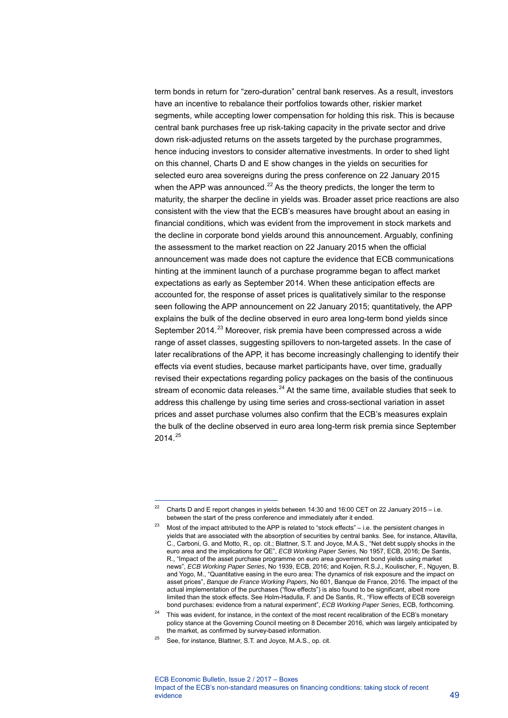term bonds in return for "zero-duration" central bank reserves. As a result, investors have an incentive to rebalance their portfolios towards other, riskier market segments, while accepting lower compensation for holding this risk. This is because central bank purchases free up risk-taking capacity in the private sector and drive down risk-adjusted returns on the assets targeted by the purchase programmes, hence inducing investors to consider alternative investments. In order to shed light on this channel, Charts D and E show changes in the yields on securities for selected euro area sovereigns during the press conference on 22 January 2015 when the APP was announced. $^{22}$  $^{22}$  $^{22}$  As the theory predicts, the longer the term to maturity, the sharper the decline in yields was. Broader asset price reactions are also consistent with the view that the ECB's measures have brought about an easing in financial conditions, which was evident from the improvement in stock markets and the decline in corporate bond yields around this announcement. Arguably, confining the assessment to the market reaction on 22 January 2015 when the official announcement was made does not capture the evidence that ECB communications hinting at the imminent launch of a purchase programme began to affect market expectations as early as September 2014. When these anticipation effects are accounted for, the response of asset prices is qualitatively similar to the response seen following the APP announcement on 22 January 2015; quantitatively, the APP explains the bulk of the decline observed in euro area long-term bond yields since September 2014.<sup>[23](#page-3-1)</sup> Moreover, risk premia have been compressed across a wide range of asset classes, suggesting spillovers to non-targeted assets. In the case of later recalibrations of the APP, it has become increasingly challenging to identify their effects via event studies, because market participants have, over time, gradually revised their expectations regarding policy packages on the basis of the continuous stream of economic data releases. $^{24}$  $^{24}$  $^{24}$  At the same time, available studies that seek to address this challenge by using time series and cross-sectional variation in asset prices and asset purchase volumes also confirm that the ECB's measures explain the bulk of the decline observed in euro area long-term risk premia since September  $2014.<sup>25</sup>$  $2014.<sup>25</sup>$  $2014.<sup>25</sup>$ 

-

<span id="page-3-0"></span><sup>&</sup>lt;sup>22</sup> Charts D and E report changes in yields between 14:30 and 16:00 CET on 22 January 2015 – i.e. between the start of the press conference and immediately after it ended.

<span id="page-3-1"></span><sup>&</sup>lt;sup>23</sup> Most of the impact attributed to the APP is related to "stock effects" – i.e. the persistent changes in yields that are associated with the absorption of securities by central banks. See, for instance, Altavilla, C., Carboni, G. and Motto, R., op. cit.; Blattner, S.T. and Joyce, M.A.S., "Net debt supply shocks in the euro area and the implications for QE", *ECB Working Paper Series*, No 1957, ECB, 2016; De Santis, R., "Impact of the asset purchase programme on euro area government bond yields using market news", *ECB Working Paper Series*, No 1939, ECB, 2016; and Koijen, R.S.J., Koulischer, F., Nguyen, B. and Yogo, M., "Quantitative easing in the euro area: The dynamics of risk exposure and the impact on asset prices", *Banque de France Working Papers*, No 601, Banque de France, 2016. The impact of the actual implementation of the purchases ("flow effects") is also found to be significant, albeit more limited than the stock effects. See Holm-Hadulla, F. and De Santis, R., "Flow effects of ECB sovereign bond purchases: evidence from a natural experiment", *ECB Working Paper Series*, ECB, forthcoming.

<span id="page-3-2"></span><sup>&</sup>lt;sup>24</sup> This was evident, for instance, in the context of the most recent recalibration of the ECB's monetary policy stance at the Governing Council meeting on 8 December 2016, which was largely anticipated by the market, as confirmed by survey-based information.

<span id="page-3-3"></span> $25$  See, for instance, Blattner, S.T. and Joyce, M.A.S., op. cit.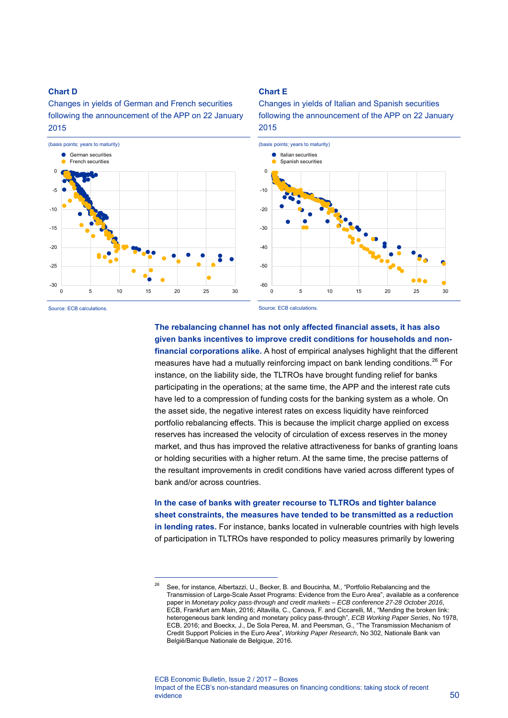### **Chart D**

### Changes in yields of German and French securities following the announcement of the APP on 22 January 2015



-

#### **Chart E**

Changes in yields of Italian and Spanish securities following the announcement of the APP on 22 January 2015



Source: ECB calculations.

Source: ECB calculations.

# **The rebalancing channel has not only affected financial assets, it has also given banks incentives to improve credit conditions for households and nonfinancial corporations alike.** A host of empirical analyses highlight that the different measures have had a mutually reinforcing impact on bank lending conditions.<sup>[26](#page-4-0)</sup> For instance, on the liability side, the TLTROs have brought funding relief for banks participating in the operations; at the same time, the APP and the interest rate cuts have led to a compression of funding costs for the banking system as a whole. On the asset side, the negative interest rates on excess liquidity have reinforced

portfolio rebalancing effects. This is because the implicit charge applied on excess reserves has increased the velocity of circulation of excess reserves in the money market, and thus has improved the relative attractiveness for banks of granting loans or holding securities with a higher return. At the same time, the precise patterns of the resultant improvements in credit conditions have varied across different types of bank and/or across countries.

**In the case of banks with greater recourse to TLTROs and tighter balance sheet constraints, the measures have tended to be transmitted as a reduction in lending rates.** For instance, banks located in vulnerable countries with high levels of participation in TLTROs have responded to policy measures primarily by lowering

<span id="page-4-0"></span><sup>&</sup>lt;sup>26</sup> See, for instance, Albertazzi, U., Becker, B. and Boucinha, M., "Portfolio Rebalancing and the Transmission of Large-Scale Asset Programs: Evidence from the Euro Area", available as a conference paper in *Monetary policy pass-through and credit markets* – *ECB conference 27-28 October 2016*, ECB, Frankfurt am Main, 2016; Altavilla, C., Canova, F. and Ciccarelli, M., "Mending the broken link: heterogeneous bank lending and monetary policy pass-through", *ECB Working Paper Series*, No 1978, ECB, 2016; and Boeckx, J., De Sola Perea, M. and Peersman, G., "The Transmission Mechanism of Credit Support Policies in the Euro Area", *Working Paper Research*, No 302, Nationale Bank van België/Banque Nationale de Belgique, 2016.